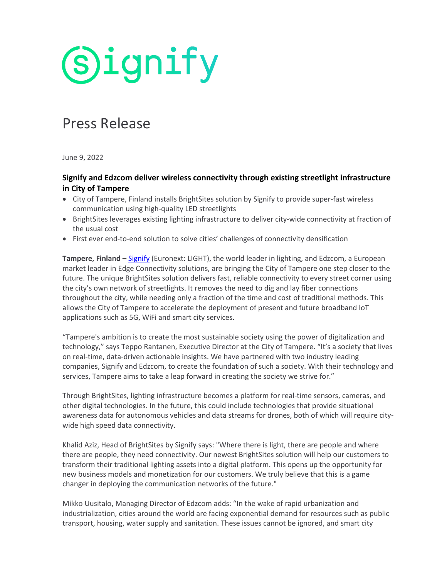# **Signify**

### Press Release

June 9, 2022

#### **Signify and Edzcom deliver wireless connectivity through existing streetlight infrastructure in City of Tampere**

- City of Tampere, Finland installs BrightSites solution by Signify to provide super-fast wireless communication using high-quality LED streetlights
- BrightSites leverages existing lighting infrastructure to deliver city-wide connectivity at fraction of the usual cost
- First ever end-to-end solution to solve cities' challenges of connectivity densification

**Tampere, Finland –** Signify (Euronext: LIGHT), the world leader in lighting, and Edzcom, a European market leader in Edge Connectivity solutions, are bringing the City of Tampere one step closer to the future. The unique BrightSites solution delivers fast, reliable connectivity to every street corner using the city's own network of streetlights. It removes the need to dig and lay fiber connections throughout the city, while needing only a fraction of the time and cost of traditional methods. This allows the City of Tampere to accelerate the deployment of present and future broadband loT applications such as 5G, WiFi and smart city services.

"Tampere's ambition is to create the most sustainable society using the power of digitalization and technology," says Teppo Rantanen, Executive Director at the City of Tampere. "It's a society that lives on real-time, data-driven actionable insights. We have partnered with two industry leading companies, Signify and Edzcom, to create the foundation of such a society. With their technology and services, Tampere aims to take a leap forward in creating the society we strive for."

Through BrightSites, lighting infrastructure becomes a platform for real-time sensors, cameras, and other digital technologies. In the future, this could include technologies that provide situational awareness data for autonomous vehicles and data streams for drones, both of which will require citywide high speed data connectivity.

Khalid Aziz, Head of BrightSites by Signify says: "Where there is light, there are people and where there are people, they need connectivity. Our newest BrightSites solution will help our customers to transform their traditional lighting assets into a digital platform. This opens up the opportunity for new business models and monetization for our customers. We truly believe that this is a game changer in deploying the communication networks of the future."

Mikko Uusitalo, Managing Director of Edzcom adds: "In the wake of rapid urbanization and industrialization, cities around the world are facing exponential demand for resources such as public transport, housing, water supply and sanitation. These issues cannot be ignored, and smart city